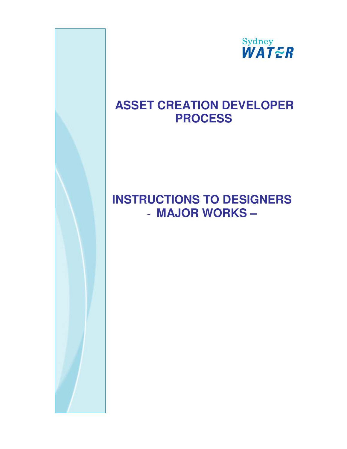

# **ASSET CREATION DEVELOPER PROCESS**

# **INSTRUCTIONS TO DESIGNERS**  - **MAJOR WORKS –**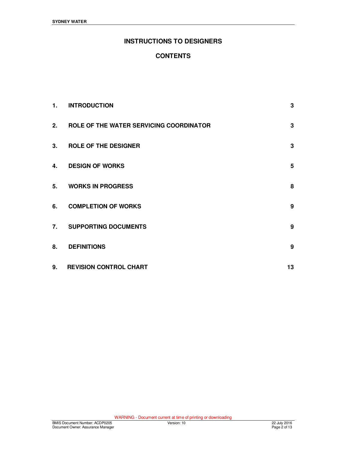# **INSTRUCTIONS TO DESIGNERS**

# **CONTENTS**

| 1. | <b>INTRODUCTION</b>                     | 3  |
|----|-----------------------------------------|----|
| 2. | ROLE OF THE WATER SERVICING COORDINATOR | 3  |
| 3. | <b>ROLE OF THE DESIGNER</b>             | 3  |
| 4. | <b>DESIGN OF WORKS</b>                  | 5  |
| 5. | <b>WORKS IN PROGRESS</b>                | 8  |
| 6. | <b>COMPLETION OF WORKS</b>              | 9  |
|    | 7. SUPPORTING DOCUMENTS                 | 9  |
| 8. | <b>DEFINITIONS</b>                      | 9  |
| 9. | <b>REVISION CONTROL CHART</b>           | 13 |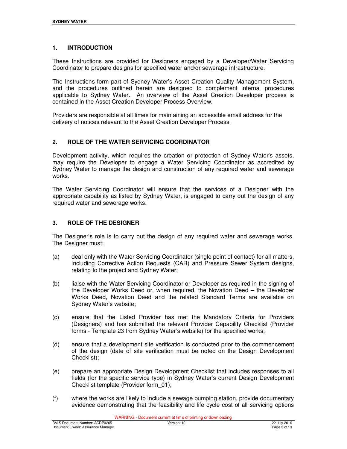## **1. INTRODUCTION**

These Instructions are provided for Designers engaged by a Developer/Water Servicing Coordinator to prepare designs for specified water and/or sewerage infrastructure.

The Instructions form part of Sydney Water's Asset Creation Quality Management System, and the procedures outlined herein are designed to complement internal procedures applicable to Sydney Water. An overview of the Asset Creation Developer process is contained in the Asset Creation Developer Process Overview.

Providers are responsible at all times for maintaining an accessible email address for the delivery of notices relevant to the Asset Creation Developer Process.

# **2. ROLE OF THE WATER SERVICING COORDINATOR**

Development activity, which requires the creation or protection of Sydney Water's assets, may require the Developer to engage a Water Servicing Coordinator as accredited by Sydney Water to manage the design and construction of any required water and sewerage works.

The Water Servicing Coordinator will ensure that the services of a Designer with the appropriate capability as listed by Sydney Water, is engaged to carry out the design of any required water and sewerage works.

## **3. ROLE OF THE DESIGNER**

The Designer's role is to carry out the design of any required water and sewerage works. The Designer must:

- (a) deal only with the Water Servicing Coordinator (single point of contact) for all matters, including Corrective Action Requests (CAR) and Pressure Sewer System designs, relating to the project and Sydney Water;
- (b) liaise with the Water Servicing Coordinator or Developer as required in the signing of the Developer Works Deed or, when required, the Novation Deed – the Developer Works Deed, Novation Deed and the related Standard Terms are available on Sydney Water's website;
- (c) ensure that the Listed Provider has met the Mandatory Criteria for Providers (Designers) and has submitted the relevant Provider Capability Checklist (Provider forms - Template 23 from Sydney Water's website) for the specified works;
- (d) ensure that a development site verification is conducted prior to the commencement of the design (date of site verification must be noted on the Design Development Checklist);
- (e) prepare an appropriate Design Development Checklist that includes responses to all fields (for the specific service type) in Sydney Water's current Design Development Checklist template (Provider form\_01);
- (f) where the works are likely to include a sewage pumping station, provide documentary evidence demonstrating that the feasibility and life cycle cost of all servicing options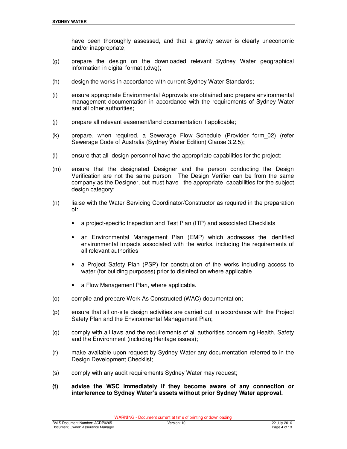have been thoroughly assessed, and that a gravity sewer is clearly uneconomic and/or inappropriate;

- (g) prepare the design on the downloaded relevant Sydney Water geographical information in digital format (.dwg);
- (h) design the works in accordance with current Sydney Water Standards;
- (i) ensure appropriate Environmental Approvals are obtained and prepare environmental management documentation in accordance with the requirements of Sydney Water and all other authorities;
- (j) prepare all relevant easement/land documentation if applicable;
- (k) prepare, when required, a Sewerage Flow Schedule (Provider form\_02) (refer Sewerage Code of Australia (Sydney Water Edition) Clause 3.2.5);
- (l) ensure that all design personnel have the appropriate capabilities for the project;
- (m) ensure that the designated Designer and the person conducting the Design Verification are not the same person. The Design Verifier can be from the same company as the Designer, but must have the appropriate capabilities for the subject design category;
- (n) liaise with the Water Servicing Coordinator/Constructor as required in the preparation of:
	- a project-specific Inspection and Test Plan (ITP) and associated Checklists
	- an Environmental Management Plan (EMP) which addresses the identified environmental impacts associated with the works, including the requirements of all relevant authorities
	- a Project Safety Plan (PSP) for construction of the works including access to water (for building purposes) prior to disinfection where applicable
	- a Flow Management Plan, where applicable.
- (o) compile and prepare Work As Constructed (WAC) documentation;
- (p) ensure that all on-site design activities are carried out in accordance with the Project Safety Plan and the Environmental Management Plan;
- (q) comply with all laws and the requirements of all authorities concerning Health, Safety and the Environment (including Heritage issues);
- (r) make available upon request by Sydney Water any documentation referred to in the Design Development Checklist:
- (s) comply with any audit requirements Sydney Water may request;
- **(t) advise the WSC immediately if they become aware of any connection or interference to Sydney Water's assets without prior Sydney Water approval.**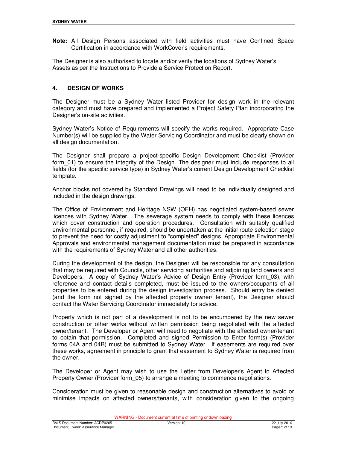**Note:** All Design Persons associated with field activities must have Confined Space Certification in accordance with WorkCover's requirements.

The Designer is also authorised to locate and/or verify the locations of Sydney Water's Assets as per the Instructions to Provide a Service Protection Report.

## **4. DESIGN OF WORKS**

The Designer must be a Sydney Water listed Provider for design work in the relevant category and must have prepared and implemented a Project Safety Plan incorporating the Designer's on-site activities.

Sydney Water's Notice of Requirements will specify the works required. Appropriate Case Number(s) will be supplied by the Water Servicing Coordinator and must be clearly shown on all design documentation.

The Designer shall prepare a project-specific Design Development Checklist (Provider form 01) to ensure the integrity of the Design. The designer must include responses to all fields (for the specific service type) in Sydney Water's current Design Development Checklist template.

Anchor blocks not covered by Standard Drawings will need to be individually designed and included in the design drawings.

The Office of Environment and Heritage NSW (OEH) has negotiated system-based sewer licences with Sydney Water. The sewerage system needs to comply with these licences which cover construction and operation procedures. Consultation with suitably qualified environmental personnel, if required, should be undertaken at the initial route selection stage to prevent the need for costly adjustment to "completed" designs. Appropriate Environmental Approvals and environmental management documentation must be prepared in accordance with the requirements of Sydney Water and all other authorities.

During the development of the design, the Designer will be responsible for any consultation that may be required with Councils, other servicing authorities and adjoining land owners and Developers. A copy of Sydney Water's Advice of Design Entry (Provider form\_03), with reference and contact details completed, must be issued to the owners/occupants of all properties to be entered during the design investigation process. Should entry be denied (and the form not signed by the affected property owner/ tenant), the Designer should contact the Water Servicing Coordinator immediately for advice.

Property which is not part of a development is not to be encumbered by the new sewer construction or other works without written permission being negotiated with the affected owner/tenant. The Developer or Agent will need to negotiate with the affected owner/tenant to obtain that permission. Completed and signed Permission to Enter form(s) (Provider forms 04A and 04B) must be submitted to Sydney Water. If easements are required over these works, agreement in principle to grant that easement to Sydney Water is required from the owner.

The Developer or Agent may wish to use the Letter from Developer's Agent to Affected Property Owner (Provider form\_05) to arrange a meeting to commence negotiations.

Consideration must be given to reasonable design and construction alternatives to avoid or minimise impacts on affected owners/tenants, with consideration given to the ongoing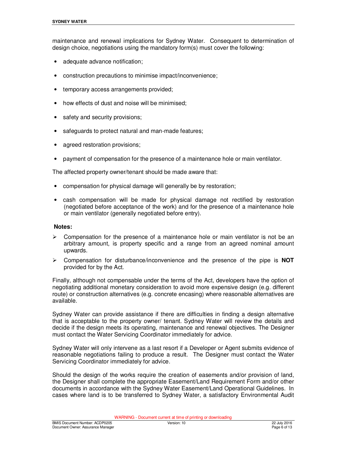maintenance and renewal implications for Sydney Water. Consequent to determination of design choice, negotiations using the mandatory form(s) must cover the following:

- adequate advance notification;
- construction precautions to minimise impact/inconvenience;
- temporary access arrangements provided;
- how effects of dust and noise will be minimised;
- safety and security provisions;
- safeguards to protect natural and man-made features;
- agreed restoration provisions;
- payment of compensation for the presence of a maintenance hole or main ventilator.

The affected property owner/tenant should be made aware that:

- compensation for physical damage will generally be by restoration;
- cash compensation will be made for physical damage not rectified by restoration (negotiated before acceptance of the work) and for the presence of a maintenance hole or main ventilator (generally negotiated before entry).

#### **Notes:**

- $\triangleright$  Compensation for the presence of a maintenance hole or main ventilator is not be an arbitrary amount, is property specific and a range from an agreed nominal amount upwards.
- Compensation for disturbance/inconvenience and the presence of the pipe is **NOT** provided for by the Act.

Finally, although not compensable under the terms of the Act, developers have the option of negotiating additional monetary consideration to avoid more expensive design (e.g. different route) or construction alternatives (e.g. concrete encasing) where reasonable alternatives are available.

Sydney Water can provide assistance if there are difficulties in finding a design alternative that is acceptable to the property owner/ tenant. Sydney Water will review the details and decide if the design meets its operating, maintenance and renewal objectives. The Designer must contact the Water Servicing Coordinator immediately for advice.

Sydney Water will only intervene as a last resort if a Developer or Agent submits evidence of reasonable negotiations failing to produce a result. The Designer must contact the Water Servicing Coordinator immediately for advice.

Should the design of the works require the creation of easements and/or provision of land, the Designer shall complete the appropriate Easement/Land Requirement Form and/or other documents in accordance with the Sydney Water Easement/Land Operational Guidelines. In cases where land is to be transferred to Sydney Water, a satisfactory Environmental Audit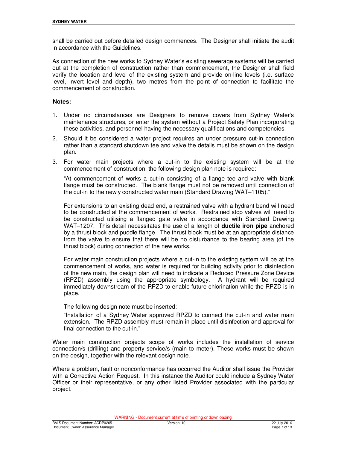shall be carried out before detailed design commences. The Designer shall initiate the audit in accordance with the Guidelines.

As connection of the new works to Sydney Water's existing sewerage systems will be carried out at the completion of construction rather than commencement, the Designer shall field verify the location and level of the existing system and provide on-line levels (i.e. surface level, invert level and depth), two metres from the point of connection to facilitate the commencement of construction.

#### **Notes:**

- 1. Under no circumstances are Designers to remove covers from Sydney Water's maintenance structures, or enter the system without a Project Safety Plan incorporating these activities, and personnel having the necessary qualifications and competencies.
- 2. Should it be considered a water project requires an under pressure cut-in connection rather than a standard shutdown tee and valve the details must be shown on the design plan.
- 3. For water main projects where a cut-in to the existing system will be at the commencement of construction, the following design plan note is required:

 "At commencement of works a cut-in consisting of a flange tee and valve with blank flange must be constructed. The blank flange must not be removed until connection of the cut-in to the newly constructed water main (Standard Drawing WAT–1105)."

For extensions to an existing dead end, a restrained valve with a hydrant bend will need to be constructed at the commencement of works. Restrained stop valves will need to be constructed utilising a flanged gate valve in accordance with Standard Drawing WAT–1207. This detail necessitates the use of a length of **ductile iron pipe** anchored by a thrust block and puddle flange. The thrust block must be at an appropriate distance from the valve to ensure that there will be no disturbance to the bearing area (of the thrust block) during connection of the new works.

For water main construction projects where a cut-in to the existing system will be at the commencement of works, and water is required for building activity prior to disinfection of the new main, the design plan will need to indicate a Reduced Pressure Zone Device (RPZD) assembly using the appropriate symbology. A hydrant will be required immediately downstream of the RPZD to enable future chlorination while the RPZD is in place.

The following design note must be inserted:

 "Installation of a Sydney Water approved RPZD to connect the cut-in and water main extension. The RPZD assembly must remain in place until disinfection and approval for final connection to the cut-in."

Water main construction projects scope of works includes the installation of service connection/s (drilling) and property service/s (main to meter). These works must be shown on the design, together with the relevant design note.

Where a problem, fault or nonconformance has occurred the Auditor shall issue the Provider with a Corrective Action Request. In this instance the Auditor could include a Sydney Water Officer or their representative, or any other listed Provider associated with the particular project.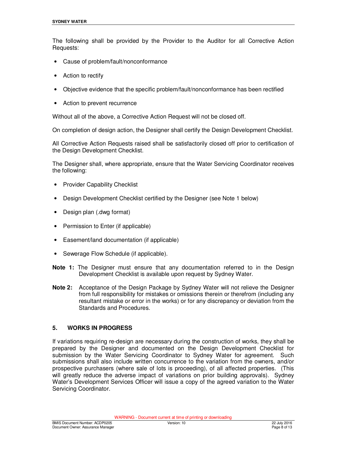The following shall be provided by the Provider to the Auditor for all Corrective Action Requests:

- Cause of problem/fault/nonconformance
- Action to rectify
- Objective evidence that the specific problem/fault/nonconformance has been rectified
- Action to prevent recurrence

Without all of the above, a Corrective Action Request will not be closed off.

On completion of design action, the Designer shall certify the Design Development Checklist.

All Corrective Action Requests raised shall be satisfactorily closed off prior to certification of the Design Development Checklist.

The Designer shall, where appropriate, ensure that the Water Servicing Coordinator receives the following:

- Provider Capability Checklist
- Design Development Checklist certified by the Designer (see Note 1 below)
- Design plan (.dwg format)
- Permission to Enter (if applicable)
- Easement/land documentation (if applicable)
- Sewerage Flow Schedule (if applicable).
- **Note 1:** The Designer must ensure that any documentation referred to in the Design Development Checklist is available upon request by Sydney Water.
- **Note 2:** Acceptance of the Design Package by Sydney Water will not relieve the Designer from full responsibility for mistakes or omissions therein or therefrom (including any resultant mistake or error in the works) or for any discrepancy or deviation from the Standards and Procedures.

## **5. WORKS IN PROGRESS**

If variations requiring re-design are necessary during the construction of works, they shall be prepared by the Designer and documented on the Design Development Checklist for submission by the Water Servicing Coordinator to Sydney Water for agreement. Such submissions shall also include written concurrence to the variation from the owners, and/or prospective purchasers (where sale of lots is proceeding), of all affected properties. (This will greatly reduce the adverse impact of variations on prior building approvals). Sydney Water's Development Services Officer will issue a copy of the agreed variation to the Water Servicing Coordinator.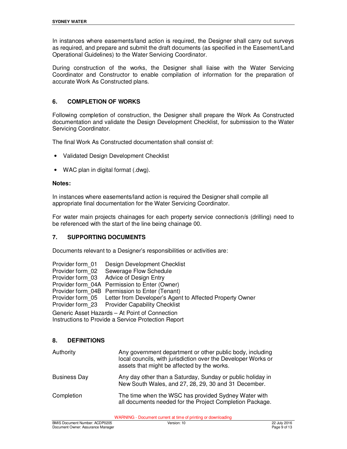In instances where easements/land action is required, the Designer shall carry out surveys as required, and prepare and submit the draft documents (as specified in the Easement/Land Operational Guidelines) to the Water Servicing Coordinator.

During construction of the works, the Designer shall liaise with the Water Servicing Coordinator and Constructor to enable compilation of information for the preparation of accurate Work As Constructed plans.

# **6. COMPLETION OF WORKS**

Following completion of construction, the Designer shall prepare the Work As Constructed documentation and validate the Design Development Checklist, for submission to the Water Servicing Coordinator.

The final Work As Constructed documentation shall consist of:

- Validated Design Development Checklist
- WAC plan in digital format (.dwg).

#### **Notes:**

In instances where easements/land action is required the Designer shall compile all appropriate final documentation for the Water Servicing Coordinator.

For water main projects chainages for each property service connection/s (drilling) need to be referenced with the start of the line being chainage 00.

## **7. SUPPORTING DOCUMENTS**

Documents relevant to a Designer's responsibilities or activities are:

| Provider form 01                               | Design Development Checklist                                              |  |  |
|------------------------------------------------|---------------------------------------------------------------------------|--|--|
| Provider form 02                               | Sewerage Flow Schedule                                                    |  |  |
|                                                | Provider form 03 Advice of Design Entry                                   |  |  |
|                                                | Provider form 04A Permission to Enter (Owner)                             |  |  |
|                                                | Provider form 04B Permission to Enter (Tenant)                            |  |  |
|                                                | Provider form 05 Letter from Developer's Agent to Affected Property Owner |  |  |
|                                                | Provider form 23 Provider Capability Checklist                            |  |  |
| Generic Asset Hazards - At Point of Connection |                                                                           |  |  |

Instructions to Provide a Service Protection Report

#### **8. DEFINITIONS**

| Authority           | Any government department or other public body, including<br>local councils, with jurisdiction over the Developer Works or<br>assets that might be affected by the works. |
|---------------------|---------------------------------------------------------------------------------------------------------------------------------------------------------------------------|
| <b>Business Day</b> | Any day other than a Saturday, Sunday or public holiday in<br>New South Wales, and 27, 28, 29, 30 and 31 December.                                                        |
| Completion          | The time when the WSC has provided Sydney Water with<br>all documents needed for the Project Completion Package.                                                          |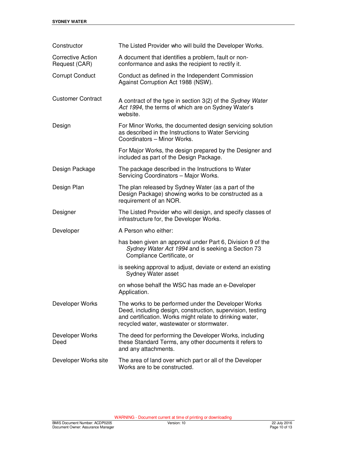| Constructor                               | The Listed Provider who will build the Developer Works.                                                                                                                                                                    |  |  |  |
|-------------------------------------------|----------------------------------------------------------------------------------------------------------------------------------------------------------------------------------------------------------------------------|--|--|--|
| <b>Corrective Action</b><br>Request (CAR) | A document that identifies a problem, fault or non-<br>conformance and asks the recipient to rectify it.                                                                                                                   |  |  |  |
| <b>Corrupt Conduct</b>                    | Conduct as defined in the Independent Commission<br>Against Corruption Act 1988 (NSW).                                                                                                                                     |  |  |  |
| <b>Customer Contract</b>                  | A contract of the type in section 3(2) of the Sydney Water<br>Act 1994, the terms of which are on Sydney Water's<br>website.                                                                                               |  |  |  |
| Design                                    | For Minor Works, the documented design servicing solution<br>as described in the Instructions to Water Servicing<br>Coordinators - Minor Works.                                                                            |  |  |  |
|                                           | For Major Works, the design prepared by the Designer and<br>included as part of the Design Package.                                                                                                                        |  |  |  |
| Design Package                            | The package described in the Instructions to Water<br>Servicing Coordinators - Major Works.                                                                                                                                |  |  |  |
| Design Plan                               | The plan released by Sydney Water (as a part of the<br>Design Package) showing works to be constructed as a<br>requirement of an NOR.                                                                                      |  |  |  |
| Designer                                  | The Listed Provider who will design, and specify classes of<br>infrastructure for, the Developer Works.                                                                                                                    |  |  |  |
| Developer                                 | A Person who either:                                                                                                                                                                                                       |  |  |  |
|                                           | has been given an approval under Part 6, Division 9 of the<br>Sydney Water Act 1994 and is seeking a Section 73<br>Compliance Certificate, or                                                                              |  |  |  |
|                                           | is seeking approval to adjust, deviate or extend an existing<br>Sydney Water asset                                                                                                                                         |  |  |  |
|                                           | on whose behalf the WSC has made an e-Developer<br>Application                                                                                                                                                             |  |  |  |
| Developer Works                           | The works to be performed under the Developer Works<br>Deed, including design, construction, supervision, testing<br>and certification. Works might relate to drinking water,<br>recycled water, wastewater or stormwater. |  |  |  |
| Developer Works<br>Deed                   | The deed for performing the Developer Works, including<br>these Standard Terms, any other documents it refers to<br>and any attachments.                                                                                   |  |  |  |
| Developer Works site                      | The area of land over which part or all of the Developer<br>Works are to be constructed.                                                                                                                                   |  |  |  |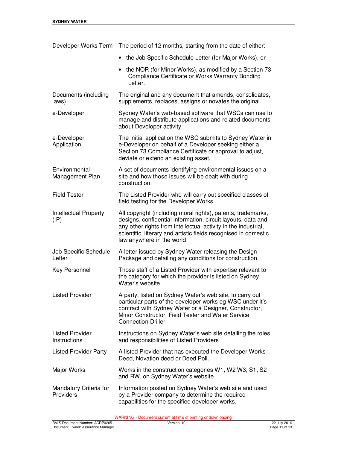| Developer Works Term                            | The period of 12 months, starting from the date of either:                                                                                                                                                                                                                                      |  |  |  |
|-------------------------------------------------|-------------------------------------------------------------------------------------------------------------------------------------------------------------------------------------------------------------------------------------------------------------------------------------------------|--|--|--|
|                                                 | the Job Specific Schedule Letter (for Major Works), or                                                                                                                                                                                                                                          |  |  |  |
|                                                 | the NOR (for Minor Works), as modified by a Section 73<br>Compliance Certificate or Works Warranty Bonding<br>Letter.                                                                                                                                                                           |  |  |  |
| Documents (including<br>laws)                   | The original and any document that amends, consolidates,<br>supplements, replaces, assigns or novates the original.                                                                                                                                                                             |  |  |  |
| e-Developer                                     | Sydney Water's web-based software that WSCs can use to<br>manage and distribute applications and related documents<br>about Developer activity.                                                                                                                                                 |  |  |  |
| e-Developer<br>Application                      | The initial application the WSC submits to Sydney Water in<br>e-Developer on behalf of a Developer seeking either a<br>Section 73 Compliance Certificate or approval to adjust,<br>deviate or extend an existing asset.                                                                         |  |  |  |
| Environmental<br>Management Plan                | A set of documents identifying environmental issues on a<br>site and how those issues will be dealt with during<br>construction.                                                                                                                                                                |  |  |  |
| <b>Field Tester</b>                             | The Listed Provider who will carry out specified classes of<br>field testing for the Developer Works.                                                                                                                                                                                           |  |  |  |
| <b>Intellectual Property</b><br>$(\mathsf{IP})$ | All copyright (including moral rights), patents, trademarks,<br>designs, confidential information, circuit layouts, data and<br>any other rights from intellectual activity in the industrial,<br>scientific, literary and artistic fields recognised in domestic<br>law anywhere in the world. |  |  |  |
| Job Specific Schedule<br>Letter                 | A letter issued by Sydney Water releasing the Design<br>Package and detailing any conditions for construction.                                                                                                                                                                                  |  |  |  |
| Key Personnel                                   | Those staff of a Listed Provider with expertise relevant to<br>the category for which the provider is listed on Sydney<br>Water's website.                                                                                                                                                      |  |  |  |
| <b>Listed Provider</b>                          | A party, listed on Sydney Water's web site, to carry out<br>particular parts of the developer works eg WSC under it's<br>contract with Sydney Water or a Designer, Constructor,<br>Minor Constructor, Field Tester and Water Service<br><b>Connection Driller.</b>                              |  |  |  |
| <b>Listed Provider</b><br>Instructions          | Instructions on Sydney Water's web site detailing the roles<br>and responsibilities of Listed Providers                                                                                                                                                                                         |  |  |  |
| <b>Listed Provider Party</b>                    | A listed Provider that has executed the Developer Works<br>Deed, Novation deed or Deed Poll.                                                                                                                                                                                                    |  |  |  |
| Major Works                                     | Works in the construction categories W1, W2 W3, S1, S2<br>and RW, on Sydney Water's website.                                                                                                                                                                                                    |  |  |  |
| Mandatory Criteria for<br>Providers             | Information posted on Sydney Water's web site and used<br>by a Provider company to determine the required<br>capabilities for the specified developer works.                                                                                                                                    |  |  |  |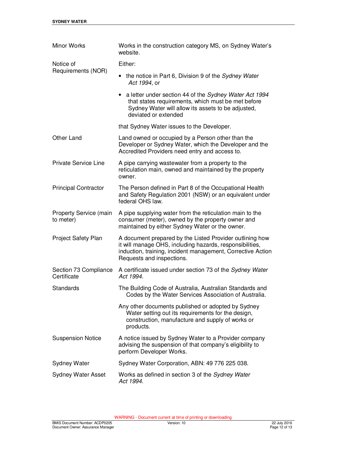| Minor Works                                | Works in the construction category MS, on Sydney Water's<br>website.                                                                                                                                             |  |  |  |
|--------------------------------------------|------------------------------------------------------------------------------------------------------------------------------------------------------------------------------------------------------------------|--|--|--|
| Notice of                                  | Either:                                                                                                                                                                                                          |  |  |  |
| Requirements (NOR)                         | • the notice in Part 6, Division 9 of the Sydney Water<br>Act 1994, or                                                                                                                                           |  |  |  |
|                                            | • a letter under section 44 of the Sydney Water Act 1994<br>that states requirements, which must be met before<br>Sydney Water will allow its assets to be adjusted,<br>deviated or extended                     |  |  |  |
|                                            | that Sydney Water issues to the Developer.                                                                                                                                                                       |  |  |  |
| Other Land                                 | Land owned or occupied by a Person other than the<br>Developer or Sydney Water, which the Developer and the<br>Accredited Providers need entry and access to.                                                    |  |  |  |
| <b>Private Service Line</b>                | A pipe carrying wastewater from a property to the<br>reticulation main, owned and maintained by the property<br>owner.                                                                                           |  |  |  |
| <b>Principal Contractor</b>                | The Person defined in Part 8 of the Occupational Health<br>and Safety Regulation 2001 (NSW) or an equivalent under<br>federal OHS law.                                                                           |  |  |  |
| <b>Property Service (main</b><br>to meter) | A pipe supplying water from the reticulation main to the<br>consumer (meter), owned by the property owner and<br>maintained by either Sydney Water or the owner.                                                 |  |  |  |
| <b>Project Safety Plan</b>                 | A document prepared by the Listed Provider outlining how<br>it will manage OHS, including hazards, responsibilities,<br>induction, training, incident management, Corrective Action<br>Requests and inspections. |  |  |  |
| Section 73 Compliance<br>Certificate       | A certificate issued under section 73 of the Sydney Water<br>Act 1994.                                                                                                                                           |  |  |  |
| Standards                                  | The Building Code of Australia, Australian Standards and<br>Codes by the Water Services Association of Australia.                                                                                                |  |  |  |
|                                            | Any other documents published or adopted by Sydney<br>Water setting out its requirements for the design,<br>construction, manufacture and supply of works or<br>products.                                        |  |  |  |
| <b>Suspension Notice</b>                   | A notice issued by Sydney Water to a Provider company<br>advising the suspension of that company's eligibility to<br>perform Developer Works.                                                                    |  |  |  |
| <b>Sydney Water</b>                        | Sydney Water Corporation, ABN: 49 776 225 038.                                                                                                                                                                   |  |  |  |
| <b>Sydney Water Asset</b>                  | Works as defined in section 3 of the Sydney Water<br>Act 1994.                                                                                                                                                   |  |  |  |